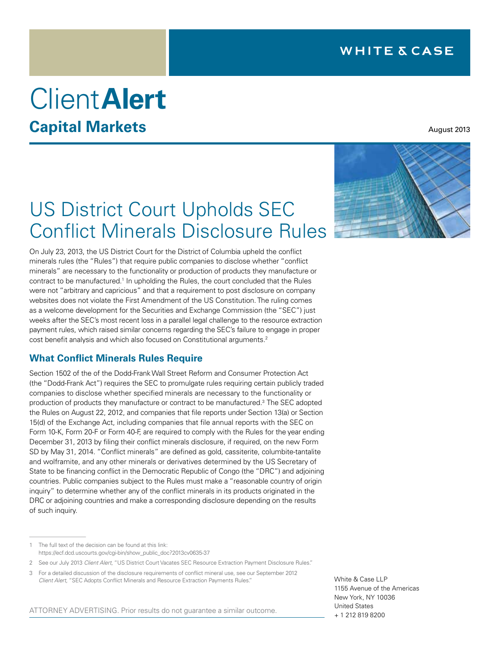# Client**Alert Capital Markets**

August 2013

## US District Court Upholds SEC Conflict Minerals Disclosure Rules

On July 23, 2013, the US District Court for the District of Columbia upheld the conflict minerals rules (the "Rules") that require public companies to disclose whether "conflict minerals" are necessary to the functionality or production of products they manufacture or contract to be manufactured.<sup>1</sup> In upholding the Rules, the court concluded that the Rules were not "arbitrary and capricious" and that a requirement to post disclosure on company websites does not violate the First Amendment of the US Constitution. The ruling comes as a welcome development for the Securities and Exchange Commission (the "SEC") just weeks after the SEC's most recent loss in a parallel legal challenge to the resource extraction payment rules, which raised similar concerns regarding the SEC's failure to engage in proper cost benefit analysis and which also focused on Constitutional arguments.2

### **What Conflict Minerals Rules Require**

Section 1502 of the of the Dodd-Frank Wall Street Reform and Consumer Protection Act (the "Dodd-Frank Act") requires the SEC to promulgate rules requiring certain publicly traded companies to disclose whether specified minerals are necessary to the functionality or production of products they manufacture or contract to be manufactured.3 The SEC adopted the Rules on August 22, 2012, and companies that file reports under Section 13(a) or Section 15(d) of the Exchange Act, including companies that file annual reports with the SEC on Form 10-K, Form 20-F or Form 40-F, are required to comply with the Rules for the year ending December 31, 2013 by filing their conflict minerals disclosure, if required, on the new Form SD by May 31, 2014. "Conflict minerals" are defined as gold, cassiterite, columbite-tantalite and wolframite, and any other minerals or derivatives determined by the US Secretary of State to be financing conflict in the Democratic Republic of Congo (the "DRC") and adjoining countries. Public companies subject to the Rules must make a "reasonable country of origin inquiry" to determine whether any of the conflict minerals in its products originated in the DRC or adjoining countries and make a corresponding disclosure depending on the results of such inquiry.

ATTORNEY ADVERTISING. Prior results do not guarantee a similar outcome.

White & Case LLP 1155 Avenue of the Americas New York, NY 10036 United States + 1 212 819 8200

<sup>1</sup> The full text of the decision can be found at this link: [https://ecf.dcd.uscourts.gov/cgi-bin/show\\_public\\_doc?2013cv0635-37](https://ecf.dcd.uscourts.gov/cgi-bin/show_public_doc?2013cv0635-37)

<sup>2</sup> See our July 2013 *Client Alert*, "[US District Court Vacates SEC Resource Extraction Payment Disclosure Rules](http://www.whitecase.com/files/Publication/db442075-b647-4382-b57a-dd7008196e09/Presentation/PublicationAttachment/e36e3f53-5920-4848-a140-ee20ad38c716/alert-US-District-Court-Vacates-SEC-Resource-Extraction-Payment-Disclosure-Rules.pdf)."

<sup>3</sup> For a detailed discussion of the disclosure requirements of conflict mineral use, see our September 2012 *Client Alert*, ["SEC Adopts Conflict Minerals and Resource Extraction Payments Rules.](http://www.whitecase.com/alerts-09202012/#.UgAW-Zg3Tnk)"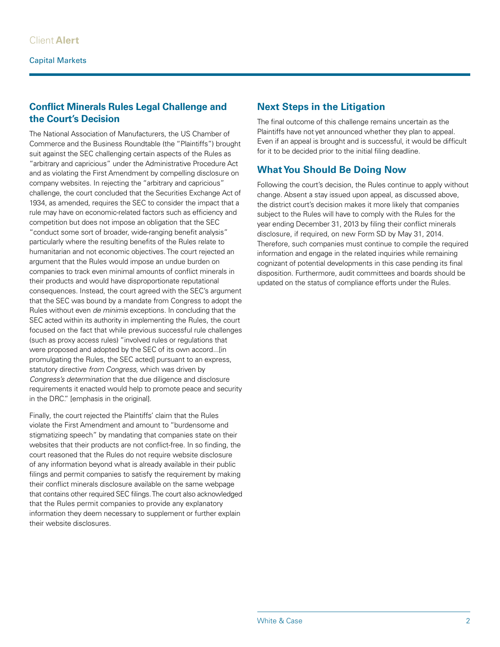### **Conflict Minerals Rules Legal Challenge and the Court's Decision**

The National Association of Manufacturers, the US Chamber of Commerce and the Business Roundtable (the "Plaintiffs") brought suit against the SEC challenging certain aspects of the Rules as "arbitrary and capricious" under the Administrative Procedure Act and as violating the First Amendment by compelling disclosure on company websites. In rejecting the "arbitrary and capricious" challenge, the court concluded that the Securities Exchange Act of 1934, as amended, requires the SEC to consider the impact that a rule may have on economic-related factors such as efficiency and competition but does not impose an obligation that the SEC "conduct some sort of broader, wide-ranging benefit analysis" particularly where the resulting benefits of the Rules relate to humanitarian and not economic objectives. The court rejected an argument that the Rules would impose an undue burden on companies to track even minimal amounts of conflict minerals in their products and would have disproportionate reputational consequences. Instead, the court agreed with the SEC's argument that the SEC was bound by a mandate from Congress to adopt the Rules without even *de minimis* exceptions. In concluding that the SEC acted within its authority in implementing the Rules, the court focused on the fact that while previous successful rule challenges (such as proxy access rules) "involved rules or regulations that were proposed and adopted by the SEC of its own accord...[in promulgating the Rules, the SEC acted] pursuant to an express, statutory directive *from Congress*, which was driven by *Congress's determination* that the due diligence and disclosure requirements it enacted would help to promote peace and security in the DRC." [emphasis in the original].

Finally, the court rejected the Plaintiffs' claim that the Rules violate the First Amendment and amount to "burdensome and stigmatizing speech" by mandating that companies state on their websites that their products are not conflict-free. In so finding, the court reasoned that the Rules do not require website disclosure of any information beyond what is already available in their public filings and permit companies to satisfy the requirement by making their conflict minerals disclosure available on the same webpage that contains other required SEC filings. The court also acknowledged that the Rules permit companies to provide any explanatory information they deem necessary to supplement or further explain their website disclosures.

### **Next Steps in the Litigation**

The final outcome of this challenge remains uncertain as the Plaintiffs have not yet announced whether they plan to appeal. Even if an appeal is brought and is successful, it would be difficult for it to be decided prior to the initial filing deadline.

### **What You Should Be Doing Now**

Following the court's decision, the Rules continue to apply without change. Absent a stay issued upon appeal, as discussed above, the district court's decision makes it more likely that companies subject to the Rules will have to comply with the Rules for the year ending December 31, 2013 by filing their conflict minerals disclosure, if required, on new Form SD by May 31, 2014. Therefore, such companies must continue to compile the required information and engage in the related inquiries while remaining cognizant of potential developments in this case pending its final disposition. Furthermore, audit committees and boards should be updated on the status of compliance efforts under the Rules.